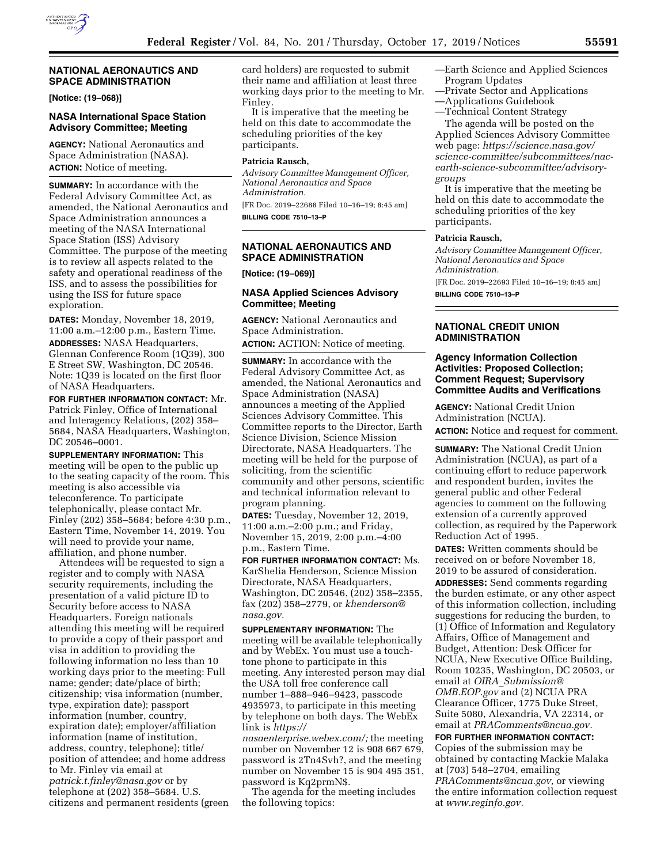

# **NATIONAL AERONAUTICS AND SPACE ADMINISTRATION**

**[Notice: (19–068)]** 

#### **NASA International Space Station Advisory Committee; Meeting**

**AGENCY:** National Aeronautics and Space Administration (NASA). **ACTION:** Notice of meeting.

**SUMMARY:** In accordance with the Federal Advisory Committee Act, as amended, the National Aeronautics and Space Administration announces a meeting of the NASA International Space Station (ISS) Advisory Committee. The purpose of the meeting is to review all aspects related to the safety and operational readiness of the ISS, and to assess the possibilities for using the ISS for future space exploration.

**DATES:** Monday, November 18, 2019, 11:00 a.m.–12:00 p.m., Eastern Time. **ADDRESSES:** NASA Headquarters, Glennan Conference Room (1Q39), 300 E Street SW, Washington, DC 20546. Note: 1Q39 is located on the first floor of NASA Headquarters.

**FOR FURTHER INFORMATION CONTACT:** Mr. Patrick Finley, Office of International and Interagency Relations, (202) 358– 5684, NASA Headquarters, Washington, DC 20546–0001.

**SUPPLEMENTARY INFORMATION:** This meeting will be open to the public up to the seating capacity of the room. This meeting is also accessible via teleconference. To participate telephonically, please contact Mr. Finley (202) 358–5684; before 4:30 p.m., Eastern Time, November 14, 2019. You will need to provide your name, affiliation, and phone number.

Attendees will be requested to sign a register and to comply with NASA security requirements, including the presentation of a valid picture ID to Security before access to NASA Headquarters. Foreign nationals attending this meeting will be required to provide a copy of their passport and visa in addition to providing the following information no less than 10 working days prior to the meeting: Full name; gender; date/place of birth; citizenship; visa information (number, type, expiration date); passport information (number, country, expiration date); employer/affiliation information (name of institution, address, country, telephone); title/ position of attendee; and home address to Mr. Finley via email at *[patrick.t.finley@nasa.gov](mailto:patrick.t.finley@nasa.gov)* or by telephone at (202) 358–5684. U.S. citizens and permanent residents (green card holders) are requested to submit their name and affiliation at least three working days prior to the meeting to Mr. Finley.

It is imperative that the meeting be held on this date to accommodate the scheduling priorities of the key participants.

# **Patricia Rausch,**

*Advisory Committee Management Officer, National Aeronautics and Space Administration.* 

[FR Doc. 2019–22688 Filed 10–16–19; 8:45 am] **BILLING CODE 7510–13–P** 

# **NATIONAL AERONAUTICS AND SPACE ADMINISTRATION**

**[Notice: (19–069)]** 

### **NASA Applied Sciences Advisory Committee; Meeting**

**AGENCY:** National Aeronautics and Space Administration. **ACTION:** ACTION: Notice of meeting.

**SUMMARY:** In accordance with the Federal Advisory Committee Act, as amended, the National Aeronautics and Space Administration (NASA) announces a meeting of the Applied Sciences Advisory Committee. This Committee reports to the Director, Earth Science Division, Science Mission Directorate, NASA Headquarters. The meeting will be held for the purpose of soliciting, from the scientific community and other persons, scientific and technical information relevant to program planning.

**DATES:** Tuesday, November 12, 2019, 11:00 a.m.–2:00 p.m.; and Friday, November 15, 2019, 2:00 p.m.–4:00 p.m., Eastern Time.

**FOR FURTHER INFORMATION CONTACT:** Ms. KarShelia Henderson, Science Mission Directorate, NASA Headquarters, Washington, DC 20546, (202) 358–2355, fax (202) 358–2779, or *[khenderson@](mailto:khenderson@nasa.gov) [nasa.gov.](mailto:khenderson@nasa.gov)* 

**SUPPLEMENTARY INFORMATION:** The meeting will be available telephonically and by WebEx. You must use a touchtone phone to participate in this meeting. Any interested person may dial the USA toll free conference call number 1–888–946–9423, passcode 4935973, to participate in this meeting by telephone on both days. The WebEx link is *[https://](https://nasaenterprise.webex.com/)*

*[nasaenterprise.webex.com/;](https://nasaenterprise.webex.com/)* the meeting number on November 12 is 908 667 679, password is 2Tn4Svh?, and the meeting number on November 15 is 904 495 351, password is Kq2prmN\$.

The agenda for the meeting includes the following topics:

—Earth Science and Applied Sciences Program Updates

- —Private Sector and Applications
- —Applications Guidebook —Technical Content Strategy

The agenda will be posted on the Applied Sciences Advisory Committee web page: *[https://science.nasa.gov/](https://science.nasa.gov/science-committee/subcommittees/nac-earth-science-subcommittee/advisory-groups)  [science-committee/subcommittees/nac](https://science.nasa.gov/science-committee/subcommittees/nac-earth-science-subcommittee/advisory-groups)[earth-science-subcommittee/advisory](https://science.nasa.gov/science-committee/subcommittees/nac-earth-science-subcommittee/advisory-groups)[groups](https://science.nasa.gov/science-committee/subcommittees/nac-earth-science-subcommittee/advisory-groups)* 

It is imperative that the meeting be held on this date to accommodate the scheduling priorities of the key participants.

# **Patricia Rausch,**

*Advisory Committee Management Officer, National Aeronautics and Space Administration.* 

[FR Doc. 2019–22693 Filed 10–16–19; 8:45 am] **BILLING CODE 7510–13–P** 

## **NATIONAL CREDIT UNION ADMINISTRATION**

# **Agency Information Collection Activities: Proposed Collection; Comment Request; Supervisory Committee Audits and Verifications**

**AGENCY:** National Credit Union Administration (NCUA). **ACTION:** Notice and request for comment.

**SUMMARY:** The National Credit Union Administration (NCUA), as part of a continuing effort to reduce paperwork and respondent burden, invites the general public and other Federal agencies to comment on the following extension of a currently approved collection, as required by the Paperwork Reduction Act of 1995.

**DATES:** Written comments should be received on or before November 18, 2019 to be assured of consideration.

**ADDRESSES:** Send comments regarding the burden estimate, or any other aspect of this information collection, including suggestions for reducing the burden, to (1) Office of Information and Regulatory Affairs, Office of Management and Budget, Attention: Desk Officer for NCUA, New Executive Office Building, Room 10235, Washington, DC 20503, or email at *OIRA*\_*[Submission@](mailto:OIRA_Submission@OMB.EOP.gov) [OMB.EOP.gov](mailto:OIRA_Submission@OMB.EOP.gov)* and (2) NCUA PRA Clearance Officer, 1775 Duke Street, Suite 5080, Alexandria, VA 22314, or email at *[PRAComments@ncua.gov.](mailto:PRAComments@ncua.gov)* 

**FOR FURTHER INFORMATION CONTACT:**  Copies of the submission may be obtained by contacting Mackie Malaka at (703) 548–2704, emailing *[PRAComments@ncua.gov,](mailto:PRAComments@ncua.gov)* or viewing the entire information collection request at *[www.reginfo.gov.](http://www.reginfo.gov)*